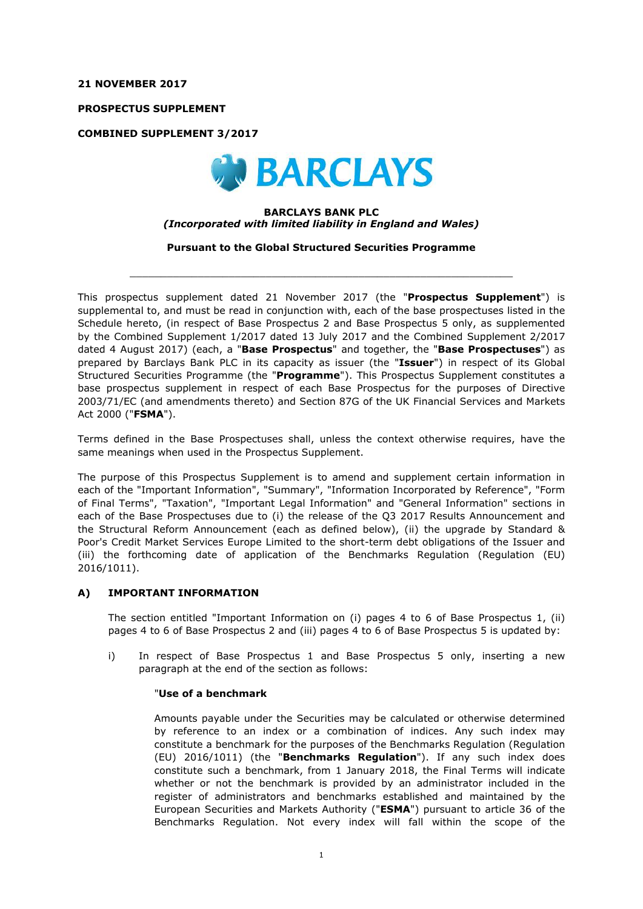## **21 NOVEMBER 2017**

**PROSPECTUS SUPPLEMENT**

**COMBINED SUPPLEMENT 3/2017**



#### **BARCLAYS BANK PLC** *(Incorporated with limited liability in England and Wales)*

**Pursuant to the Global Structured Securities Programme**

 $\_$  ,  $\_$  ,  $\_$  ,  $\_$  ,  $\_$  ,  $\_$  ,  $\_$  ,  $\_$  ,  $\_$  ,  $\_$  ,  $\_$  ,  $\_$  ,  $\_$  ,  $\_$  ,  $\_$  ,  $\_$  ,  $\_$  ,  $\_$  ,  $\_$  ,  $\_$  ,  $\_$  ,  $\_$  ,  $\_$  ,  $\_$  ,  $\_$  ,  $\_$  ,  $\_$  ,  $\_$  ,  $\_$  ,  $\_$  ,  $\_$  ,  $\_$  ,  $\_$  ,  $\_$  ,  $\_$  ,  $\_$  ,  $\_$  ,

This prospectus supplement dated 21 November 2017 (the "**Prospectus Supplement**") is supplemental to, and must be read in conjunction with, each of the base prospectuses listed in the Schedule hereto, (in respect of Base Prospectus 2 and Base Prospectus 5 only, as supplemented by the Combined Supplement 1/2017 dated 13 July 2017 and the Combined Supplement 2/2017 dated 4 August 2017) (each, a "**Base Prospectus**" and together, the "**Base Prospectuses**") as prepared by Barclays Bank PLC in its capacity as issuer (the "**Issuer**") in respect of its Global Structured Securities Programme (the "**Programme**"). This Prospectus Supplement constitutes a base prospectus supplement in respect of each Base Prospectus for the purposes of Directive 2003/71/EC (and amendments thereto) and Section 87G of the UK Financial Services and Markets Act 2000 ("**FSMA**").

Terms defined in the Base Prospectuses shall, unless the context otherwise requires, have the same meanings when used in the Prospectus Supplement.

The purpose of this Prospectus Supplement is to amend and supplement certain information in each of the "Important Information", "Summary", "Information Incorporated by Reference", "Form of Final Terms", "Taxation", "Important Legal Information" and "General Information" sections in each of the Base Prospectuses due to (i) the release of the Q3 2017 Results Announcement and the Structural Reform Announcement (each as defined below), (ii) the upgrade by Standard & Poor's Credit Market Services Europe Limited to the short-term debt obligations of the Issuer and (iii) the forthcoming date of application of the Benchmarks Regulation (Regulation (EU) 2016/1011).

## **A) IMPORTANT INFORMATION**

The section entitled "Important Information on (i) pages 4 to 6 of Base Prospectus 1, (ii) pages 4 to 6 of Base Prospectus 2 and (iii) pages 4 to 6 of Base Prospectus 5 is updated by:

i) In respect of Base Prospectus 1 and Base Prospectus 5 only, inserting a new paragraph at the end of the section as follows:

#### "**Use of a benchmark**

Amounts payable under the Securities may be calculated or otherwise determined by reference to an index or a combination of indices. Any such index may constitute a benchmark for the purposes of the Benchmarks Regulation (Regulation (EU) 2016/1011) (the "**Benchmarks Regulation**"). If any such index does constitute such a benchmark, from 1 January 2018, the Final Terms will indicate whether or not the benchmark is provided by an administrator included in the register of administrators and benchmarks established and maintained by the European Securities and Markets Authority ("**ESMA**") pursuant to article 36 of the Benchmarks Regulation. Not every index will fall within the scope of the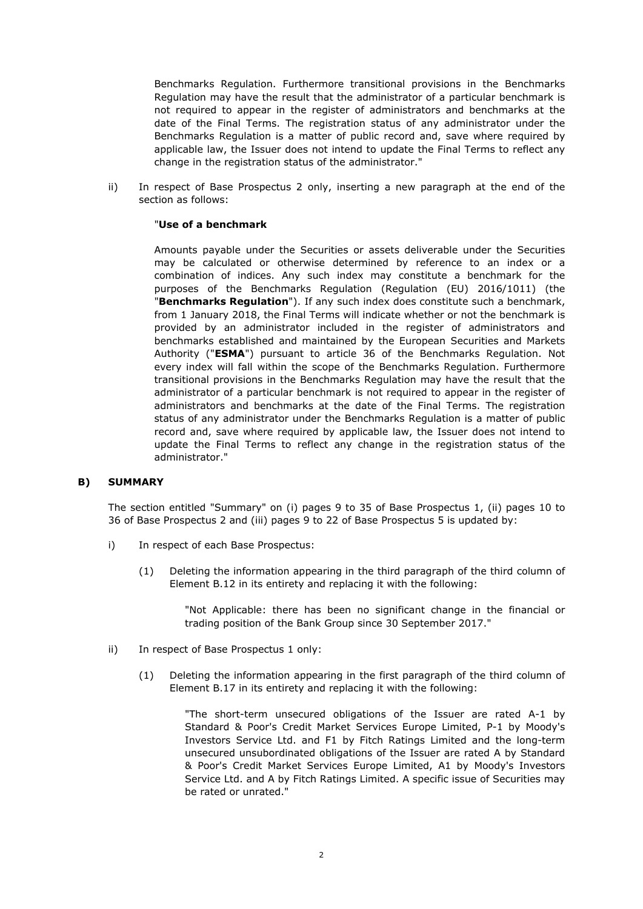Benchmarks Regulation. Furthermore transitional provisions in the Benchmarks Regulation may have the result that the administrator of a particular benchmark is not required to appear in the register of administrators and benchmarks at the date of the Final Terms. The registration status of any administrator under the Benchmarks Regulation is a matter of public record and, save where required by applicable law, the Issuer does not intend to update the Final Terms to reflect any change in the registration status of the administrator."

ii) In respect of Base Prospectus 2 only, inserting a new paragraph at the end of the section as follows:

#### "**Use of a benchmark**

Amounts payable under the Securities or assets deliverable under the Securities may be calculated or otherwise determined by reference to an index or a combination of indices. Any such index may constitute a benchmark for the purposes of the Benchmarks Regulation (Regulation (EU) 2016/1011) (the "**Benchmarks Regulation**"). If any such index does constitute such a benchmark, from 1 January 2018, the Final Terms will indicate whether or not the benchmark is provided by an administrator included in the register of administrators and benchmarks established and maintained by the European Securities and Markets Authority ("**ESMA**") pursuant to article 36 of the Benchmarks Regulation. Not every index will fall within the scope of the Benchmarks Regulation. Furthermore transitional provisions in the Benchmarks Regulation may have the result that the administrator of a particular benchmark is not required to appear in the register of administrators and benchmarks at the date of the Final Terms. The registration status of any administrator under the Benchmarks Regulation is a matter of public record and, save where required by applicable law, the Issuer does not intend to update the Final Terms to reflect any change in the registration status of the administrator."

## **B) SUMMARY**

The section entitled "Summary" on (i) pages 9 to 35 of Base Prospectus 1, (ii) pages 10 to 36 of Base Prospectus 2 and (iii) pages 9 to 22 of Base Prospectus 5 is updated by:

- i) In respect of each Base Prospectus:
	- (1) Deleting the information appearing in the third paragraph of the third column of Element B.12 in its entirety and replacing it with the following:

"Not Applicable: there has been no significant change in the financial or trading position of the Bank Group since 30 September 2017."

- ii) In respect of Base Prospectus 1 only:
	- (1) Deleting the information appearing in the first paragraph of the third column of Element B.17 in its entirety and replacing it with the following:

"The short-term unsecured obligations of the Issuer are rated A-1 by Standard & Poor's Credit Market Services Europe Limited, P-1 by Moody's Investors Service Ltd. and F1 by Fitch Ratings Limited and the long-term unsecured unsubordinated obligations of the Issuer are rated A by Standard & Poor's Credit Market Services Europe Limited, A1 by Moody's Investors Service Ltd. and A by Fitch Ratings Limited. A specific issue of Securities may be rated or unrated."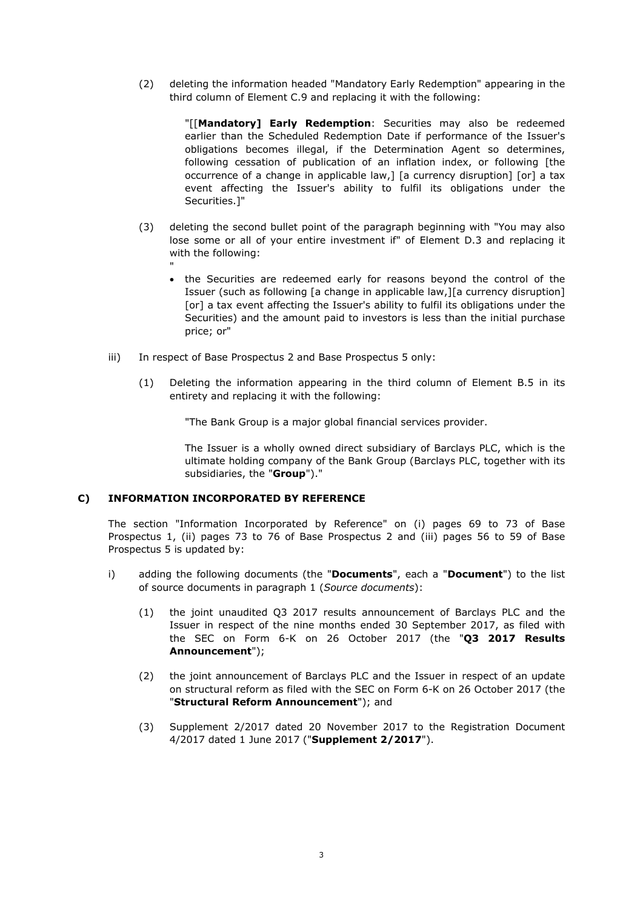(2) deleting the information headed "Mandatory Early Redemption" appearing in the third column of Element C.9 and replacing it with the following:

> "[[**Mandatory] Early Redemption**: Securities may also be redeemed earlier than the Scheduled Redemption Date if performance of the Issuer's obligations becomes illegal, if the Determination Agent so determines, following cessation of publication of an inflation index, or following [the occurrence of a change in applicable law,] [a currency disruption] [or] a tax event affecting the Issuer's ability to fulfil its obligations under the Securities.]"

- (3) deleting the second bullet point of the paragraph beginning with "You may also lose some or all of your entire investment if" of Element D.3 and replacing it with the following:
	- the Securities are redeemed early for reasons beyond the control of the Issuer (such as following [a change in applicable law,][a currency disruption] [or] a tax event affecting the Issuer's ability to fulfil its obligations under the Securities) and the amount paid to investors is less than the initial purchase price; or"
- iii) In respect of Base Prospectus 2 and Base Prospectus 5 only:
	- (1) Deleting the information appearing in the third column of Element B.5 in its entirety and replacing it with the following:

"The Bank Group is a major global financial services provider.

The Issuer is a wholly owned direct subsidiary of Barclays PLC, which is the ultimate holding company of the Bank Group (Barclays PLC, together with its subsidiaries, the "**Group**")."

## **C) INFORMATION INCORPORATED BY REFERENCE**

"

The section "Information Incorporated by Reference" on (i) pages 69 to 73 of Base Prospectus 1, (ii) pages 73 to 76 of Base Prospectus 2 and (iii) pages 56 to 59 of Base Prospectus 5 is updated by:

- i) adding the following documents (the "**Documents**", each a "**Document**") to the list of source documents in paragraph 1 (*Source documents*):
	- (1) the joint unaudited Q3 2017 results announcement of Barclays PLC and the Issuer in respect of the nine months ended 30 September 2017, as filed with the SEC on Form 6-K on 26 October 2017 (the "**Q3 2017 Results Announcement**");
	- (2) the joint announcement of Barclays PLC and the Issuer in respect of an update on structural reform as filed with the SEC on Form 6-K on 26 October 2017 (the "**Structural Reform Announcement**"); and
	- (3) Supplement 2/2017 dated 20 November 2017 to the Registration Document 4/2017 dated 1 June 2017 ("**Supplement 2/2017**").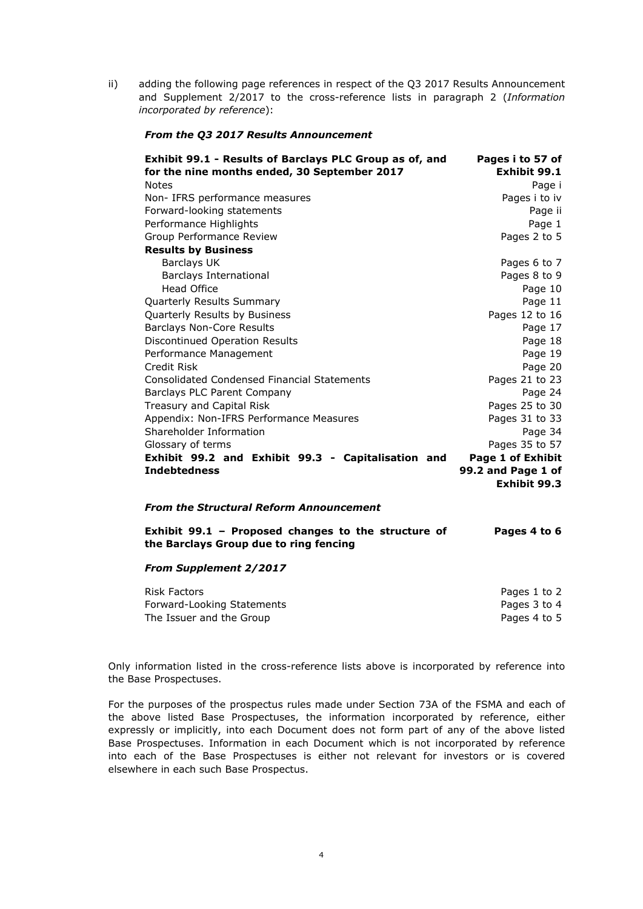ii) adding the following page references in respect of the Q3 2017 Results Announcement and Supplement 2/2017 to the cross-reference lists in paragraph 2 (*Information incorporated by reference*):

#### *From the Q3 2017 Results Announcement*

| Exhibit 99.1 - Results of Barclays PLC Group as of, and<br>for the nine months ended, 30 September 2017 | Pages i to 57 of<br>Exhibit 99.1 |
|---------------------------------------------------------------------------------------------------------|----------------------------------|
| <b>Notes</b>                                                                                            | Page i                           |
| Non- IFRS performance measures                                                                          | Pages i to iv                    |
| Forward-looking statements                                                                              | Page ii                          |
| Performance Highlights                                                                                  | Page 1                           |
| Group Performance Review                                                                                | Pages 2 to 5                     |
| <b>Results by Business</b>                                                                              |                                  |
| <b>Barclays UK</b>                                                                                      | Pages 6 to 7                     |
| <b>Barclays International</b>                                                                           | Pages 8 to 9                     |
| <b>Head Office</b>                                                                                      | Page 10                          |
| Quarterly Results Summary                                                                               | Page 11                          |
| Quarterly Results by Business                                                                           | Pages 12 to 16                   |
| <b>Barclays Non-Core Results</b>                                                                        | Page 17                          |
| Discontinued Operation Results                                                                          | Page 18                          |
| Performance Management                                                                                  | Page 19                          |
| Credit Risk                                                                                             | Page 20                          |
| <b>Consolidated Condensed Financial Statements</b>                                                      | Pages 21 to 23                   |
| Barclays PLC Parent Company                                                                             | Page 24                          |
| Treasury and Capital Risk                                                                               | Pages 25 to 30                   |
| Appendix: Non-IFRS Performance Measures                                                                 | Pages 31 to 33                   |
| Shareholder Information                                                                                 | Page 34                          |
| Glossary of terms                                                                                       | Pages 35 to 57                   |
| Exhibit 99.2 and Exhibit 99.3 - Capitalisation and                                                      | Page 1 of Exhibit                |
| <b>Indebtedness</b>                                                                                     | 99.2 and Page 1 of               |
|                                                                                                         | Exhibit 99.3                     |

## *From the Structural Reform Announcement*

**Exhibit 99.1 – Proposed changes to the structure of the Barclays Group due to ring fencing Pages 4 to 6**

#### *From Supplement 2/2017*

| Risk Factors               | Pages 1 to 2 |
|----------------------------|--------------|
| Forward-Looking Statements | Pages 3 to 4 |
| The Issuer and the Group   | Pages 4 to 5 |

Only information listed in the cross-reference lists above is incorporated by reference into the Base Prospectuses.

For the purposes of the prospectus rules made under Section 73A of the FSMA and each of the above listed Base Prospectuses, the information incorporated by reference, either expressly or implicitly, into each Document does not form part of any of the above listed Base Prospectuses. Information in each Document which is not incorporated by reference into each of the Base Prospectuses is either not relevant for investors or is covered elsewhere in each such Base Prospectus.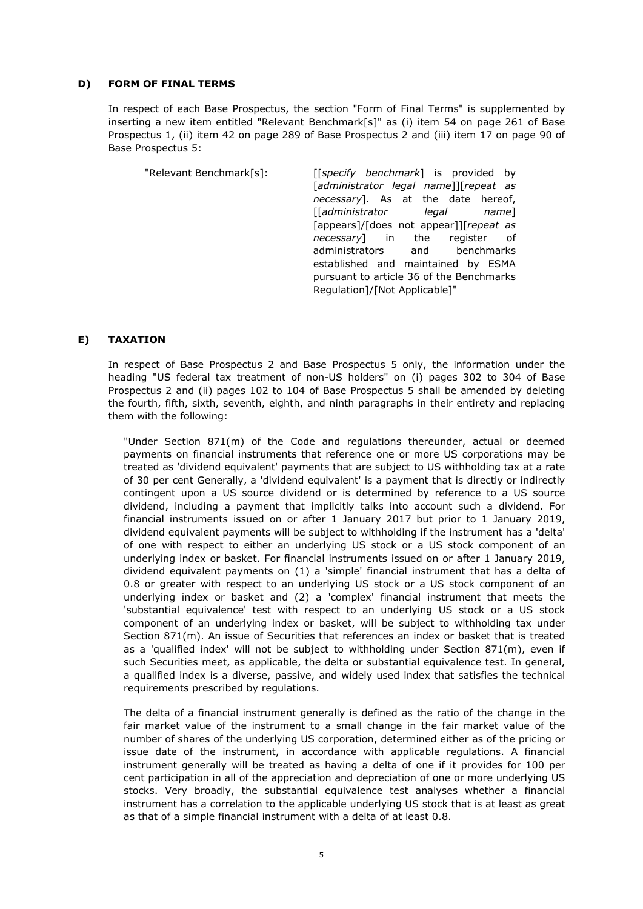#### **D) FORM OF FINAL TERMS**

In respect of each Base Prospectus, the section "Form of Final Terms" is supplemented by inserting a new item entitled "Relevant Benchmark[s]" as (i) item 54 on page 261 of Base Prospectus 1, (ii) item 42 on page 289 of Base Prospectus 2 and (iii) item 17 on page 90 of Base Prospectus 5:

| "Relevant Benchmark[s]: | [[specify benchmark] is provided by                                                            |
|-------------------------|------------------------------------------------------------------------------------------------|
|                         | [administrator legal name]][repeat as                                                          |
|                         | necessary]. As at the date hereof,                                                             |
|                         | $\left[\begin{bmatrix} \text{administrator} & \text{legal} & \text{name} \end{bmatrix}\right]$ |
|                         | [appears]/[does not appear]][repeat as                                                         |
|                         | <i>necessary</i> in the register of                                                            |
|                         | administrators and benchmarks                                                                  |
|                         | established and maintained by ESMA                                                             |
|                         | pursuant to article 36 of the Benchmarks                                                       |
|                         | Regulation]/[Not Applicable]"                                                                  |

#### **E) TAXATION**

In respect of Base Prospectus 2 and Base Prospectus 5 only, the information under the heading "US federal tax treatment of non-US holders" on (i) pages 302 to 304 of Base Prospectus 2 and (ii) pages 102 to 104 of Base Prospectus 5 shall be amended by deleting the fourth, fifth, sixth, seventh, eighth, and ninth paragraphs in their entirety and replacing them with the following:

"Under Section 871(m) of the Code and regulations thereunder, actual or deemed payments on financial instruments that reference one or more US corporations may be treated as 'dividend equivalent' payments that are subject to US withholding tax at a rate of 30 per cent Generally, a 'dividend equivalent' is a payment that is directly or indirectly contingent upon a US source dividend or is determined by reference to a US source dividend, including a payment that implicitly talks into account such a dividend. For financial instruments issued on or after 1 January 2017 but prior to 1 January 2019, dividend equivalent payments will be subject to withholding if the instrument has a 'delta' of one with respect to either an underlying US stock or a US stock component of an underlying index or basket. For financial instruments issued on or after 1 January 2019, dividend equivalent payments on (1) a 'simple' financial instrument that has a delta of 0.8 or greater with respect to an underlying US stock or a US stock component of an underlying index or basket and (2) a 'complex' financial instrument that meets the 'substantial equivalence' test with respect to an underlying US stock or a US stock component of an underlying index or basket, will be subject to withholding tax under Section 871(m). An issue of Securities that references an index or basket that is treated as a 'qualified index' will not be subject to withholding under Section 871(m), even if such Securities meet, as applicable, the delta or substantial equivalence test. In general, a qualified index is a diverse, passive, and widely used index that satisfies the technical requirements prescribed by regulations.

The delta of a financial instrument generally is defined as the ratio of the change in the fair market value of the instrument to a small change in the fair market value of the number of shares of the underlying US corporation, determined either as of the pricing or issue date of the instrument, in accordance with applicable regulations. A financial instrument generally will be treated as having a delta of one if it provides for 100 per cent participation in all of the appreciation and depreciation of one or more underlying US stocks. Very broadly, the substantial equivalence test analyses whether a financial instrument has a correlation to the applicable underlying US stock that is at least as great as that of a simple financial instrument with a delta of at least 0.8.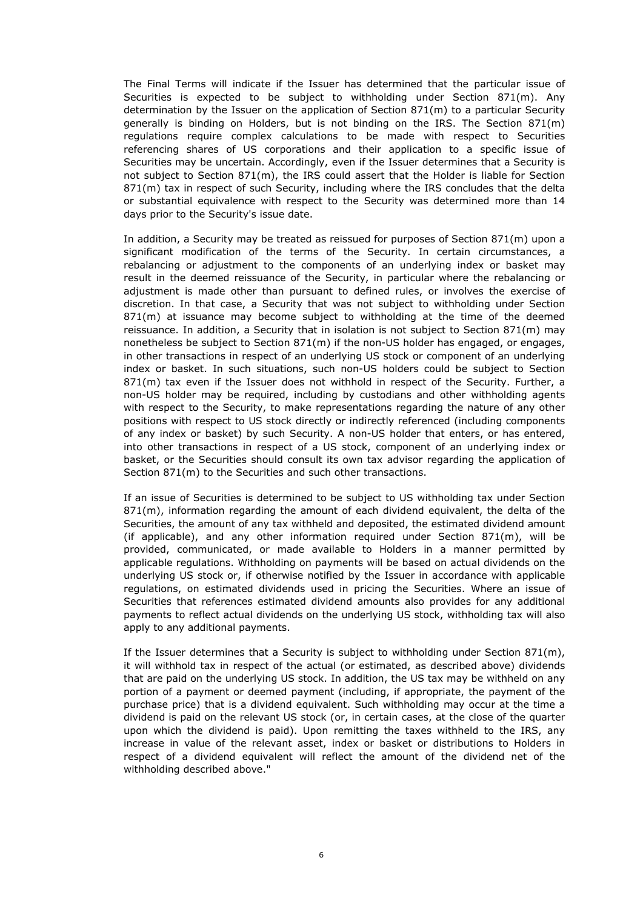The Final Terms will indicate if the Issuer has determined that the particular issue of Securities is expected to be subject to withholding under Section 871(m). Any determination by the Issuer on the application of Section 871(m) to a particular Security generally is binding on Holders, but is not binding on the IRS. The Section 871(m) regulations require complex calculations to be made with respect to Securities referencing shares of US corporations and their application to a specific issue of Securities may be uncertain. Accordingly, even if the Issuer determines that a Security is not subject to Section 871(m), the IRS could assert that the Holder is liable for Section 871(m) tax in respect of such Security, including where the IRS concludes that the delta or substantial equivalence with respect to the Security was determined more than 14 days prior to the Security's issue date.

In addition, a Security may be treated as reissued for purposes of Section 871(m) upon a significant modification of the terms of the Security. In certain circumstances, a rebalancing or adjustment to the components of an underlying index or basket may result in the deemed reissuance of the Security, in particular where the rebalancing or adjustment is made other than pursuant to defined rules, or involves the exercise of discretion. In that case, a Security that was not subject to withholding under Section 871(m) at issuance may become subject to withholding at the time of the deemed reissuance. In addition, a Security that in isolation is not subject to Section  $871(m)$  may nonetheless be subject to Section 871(m) if the non-US holder has engaged, or engages, in other transactions in respect of an underlying US stock or component of an underlying index or basket. In such situations, such non-US holders could be subject to Section 871(m) tax even if the Issuer does not withhold in respect of the Security. Further, a non-US holder may be required, including by custodians and other withholding agents with respect to the Security, to make representations regarding the nature of any other positions with respect to US stock directly or indirectly referenced (including components of any index or basket) by such Security. A non-US holder that enters, or has entered, into other transactions in respect of a US stock, component of an underlying index or basket, or the Securities should consult its own tax advisor regarding the application of Section 871(m) to the Securities and such other transactions.

If an issue of Securities is determined to be subject to US withholding tax under Section  $871(m)$ , information regarding the amount of each dividend equivalent, the delta of the Securities, the amount of any tax withheld and deposited, the estimated dividend amount (if applicable), and any other information required under Section  $871(m)$ , will be provided, communicated, or made available to Holders in a manner permitted by applicable regulations. Withholding on payments will be based on actual dividends on the underlying US stock or, if otherwise notified by the Issuer in accordance with applicable regulations, on estimated dividends used in pricing the Securities. Where an issue of Securities that references estimated dividend amounts also provides for any additional payments to reflect actual dividends on the underlying US stock, withholding tax will also apply to any additional payments.

If the Issuer determines that a Security is subject to withholding under Section 871(m), it will withhold tax in respect of the actual (or estimated, as described above) dividends that are paid on the underlying US stock. In addition, the US tax may be withheld on any portion of a payment or deemed payment (including, if appropriate, the payment of the purchase price) that is a dividend equivalent. Such withholding may occur at the time a dividend is paid on the relevant US stock (or, in certain cases, at the close of the quarter upon which the dividend is paid). Upon remitting the taxes withheld to the IRS, any increase in value of the relevant asset, index or basket or distributions to Holders in respect of a dividend equivalent will reflect the amount of the dividend net of the withholding described above."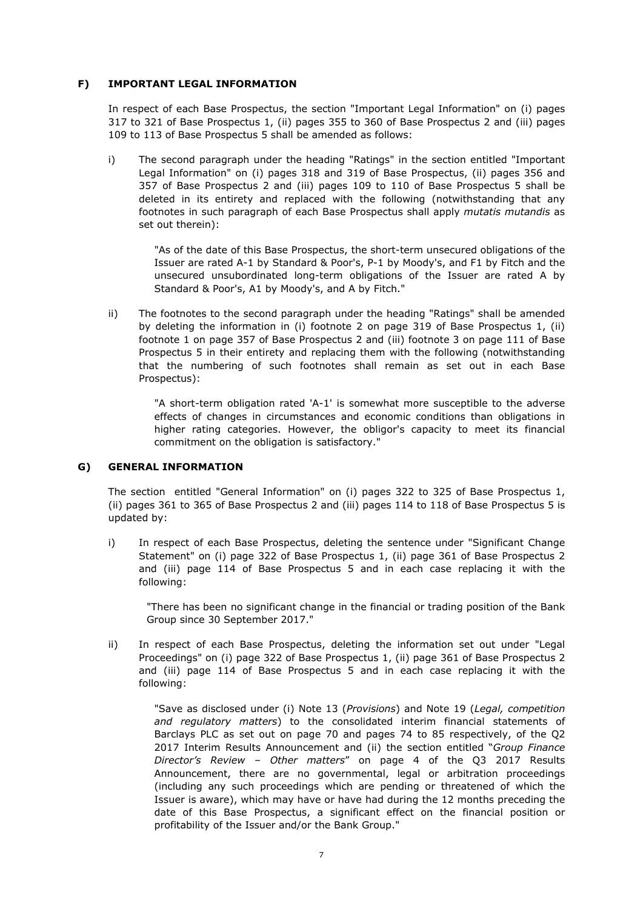## **F) IMPORTANT LEGAL INFORMATION**

In respect of each Base Prospectus, the section "Important Legal Information" on (i) pages 317 to 321 of Base Prospectus 1, (ii) pages 355 to 360 of Base Prospectus 2 and (iii) pages 109 to 113 of Base Prospectus 5 shall be amended as follows:

i) The second paragraph under the heading "Ratings" in the section entitled "Important Legal Information" on (i) pages 318 and 319 of Base Prospectus, (ii) pages 356 and 357 of Base Prospectus 2 and (iii) pages 109 to 110 of Base Prospectus 5 shall be deleted in its entirety and replaced with the following (notwithstanding that any footnotes in such paragraph of each Base Prospectus shall apply *mutatis mutandis* as set out therein):

> "As of the date of this Base Prospectus, the short-term unsecured obligations of the Issuer are rated A-1 by Standard & Poor's, P-1 by Moody's, and F1 by Fitch and the unsecured unsubordinated long-term obligations of the Issuer are rated A by Standard & Poor's, A1 by Moody's, and A by Fitch."

ii) The footnotes to the second paragraph under the heading "Ratings" shall be amended by deleting the information in (i) footnote 2 on page 319 of Base Prospectus 1, (ii) footnote 1 on page 357 of Base Prospectus 2 and (iii) footnote 3 on page 111 of Base Prospectus 5 in their entirety and replacing them with the following (notwithstanding that the numbering of such footnotes shall remain as set out in each Base Prospectus):

> "A short-term obligation rated 'A-1' is somewhat more susceptible to the adverse effects of changes in circumstances and economic conditions than obligations in higher rating categories. However, the obligor's capacity to meet its financial commitment on the obligation is satisfactory."

## **G) GENERAL INFORMATION**

The section entitled "General Information" on (i) pages 322 to 325 of Base Prospectus 1, (ii) pages 361 to 365 of Base Prospectus 2 and (iii) pages 114 to 118 of Base Prospectus 5 is updated by:

i) In respect of each Base Prospectus, deleting the sentence under "Significant Change Statement" on (i) page 322 of Base Prospectus 1, (ii) page 361 of Base Prospectus 2 and (iii) page 114 of Base Prospectus 5 and in each case replacing it with the following:

"There has been no significant change in the financial or trading position of the Bank Group since 30 September 2017."

ii) In respect of each Base Prospectus, deleting the information set out under "Legal Proceedings" on (i) page 322 of Base Prospectus 1, (ii) page 361 of Base Prospectus 2 and (iii) page 114 of Base Prospectus 5 and in each case replacing it with the following:

> "Save as disclosed under (i) Note 13 (*Provisions*) and Note 19 (*Legal, competition and regulatory matters*) to the consolidated interim financial statements of Barclays PLC as set out on page 70 and pages 74 to 85 respectively, of the Q2 2017 Interim Results Announcement and (ii) the section entitled "*Group Finance Director's Review – Other matters*" on page 4 of the Q3 2017 Results Announcement, there are no governmental, legal or arbitration proceedings (including any such proceedings which are pending or threatened of which the Issuer is aware), which may have or have had during the 12 months preceding the date of this Base Prospectus, a significant effect on the financial position or profitability of the Issuer and/or the Bank Group."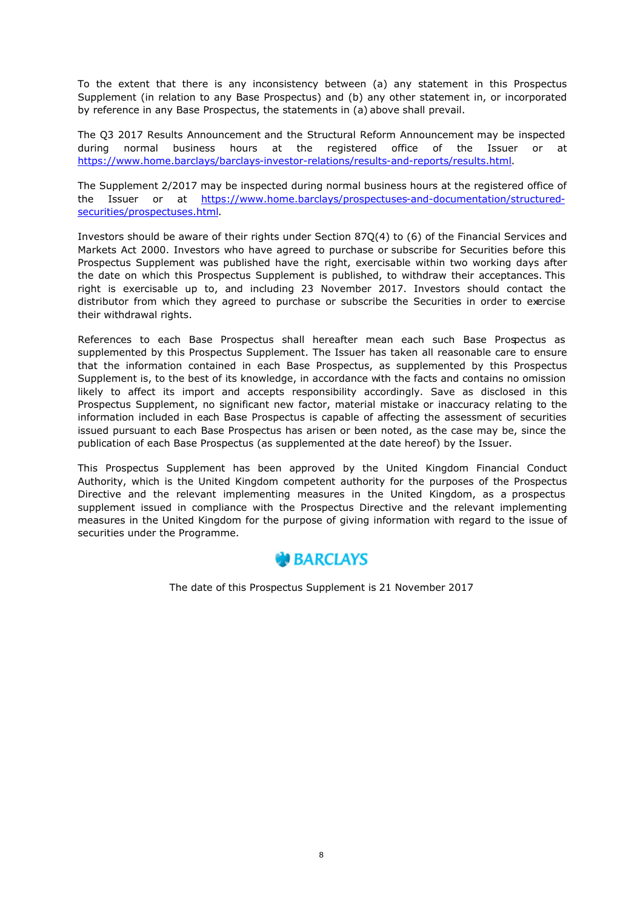To the extent that there is any inconsistency between (a) any statement in this Prospectus Supplement (in relation to any Base Prospectus) and (b) any other statement in, or incorporated by reference in any Base Prospectus, the statements in (a) above shall prevail.

The Q3 2017 Results Announcement and the Structural Reform Announcement may be inspected during normal business hours at the registered office of the Issuer or at https://www.home.barclays/barclays-investor-relations/results-and-reports/results.html.

The Supplement 2/2017 may be inspected during normal business hours at the registered office of the Issuer or at https://www.home.barclays/prospectuses-and-documentation/structuredsecurities/prospectuses.html.

Investors should be aware of their rights under Section 87Q(4) to (6) of the Financial Services and Markets Act 2000. Investors who have agreed to purchase or subscribe for Securities before this Prospectus Supplement was published have the right, exercisable within two working days after the date on which this Prospectus Supplement is published, to withdraw their acceptances. This right is exercisable up to, and including 23 November 2017. Investors should contact the distributor from which they agreed to purchase or subscribe the Securities in order to exercise their withdrawal rights.

References to each Base Prospectus shall hereafter mean each such Base Prospectus as supplemented by this Prospectus Supplement. The Issuer has taken all reasonable care to ensure that the information contained in each Base Prospectus, as supplemented by this Prospectus Supplement is, to the best of its knowledge, in accordance with the facts and contains no omission likely to affect its import and accepts responsibility accordingly. Save as disclosed in this Prospectus Supplement, no significant new factor, material mistake or inaccuracy relating to the information included in each Base Prospectus is capable of affecting the assessment of securities issued pursuant to each Base Prospectus has arisen or been noted, as the case may be, since the publication of each Base Prospectus (as supplemented at the date hereof) by the Issuer.

This Prospectus Supplement has been approved by the United Kingdom Financial Conduct Authority, which is the United Kingdom competent authority for the purposes of the Prospectus Directive and the relevant implementing measures in the United Kingdom, as a prospectus supplement issued in compliance with the Prospectus Directive and the relevant implementing measures in the United Kingdom for the purpose of giving information with regard to the issue of securities under the Programme.



The date of this Prospectus Supplement is 21 November 2017